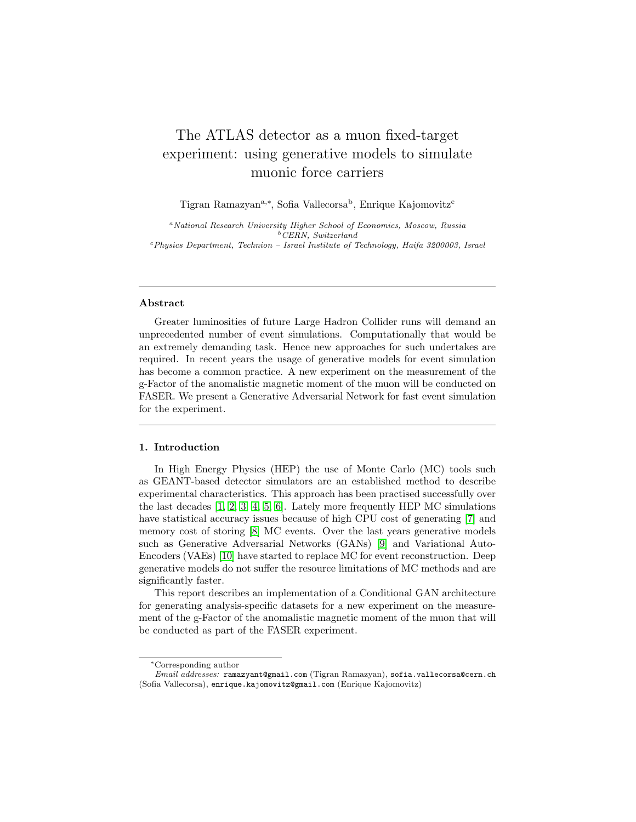# The ATLAS detector as a muon fixed-target experiment: using generative models to simulate muonic force carriers

Tigran Ramazyan<sup>a,∗</sup>, Sofia Vallecorsa<sup>b</sup>, Enrique Kajomovitz<sup>c</sup>

<sup>a</sup>National Research University Higher School of Economics, Moscow, Russia  $b$  CERN, Switzerland  $c$ Physics Department, Technion – Israel Institute of Technology, Haifa 3200003, Israel

#### Abstract

Greater luminosities of future Large Hadron Collider runs will demand an unprecedented number of event simulations. Computationally that would be an extremely demanding task. Hence new approaches for such undertakes are required. In recent years the usage of generative models for event simulation has become a common practice. A new experiment on the measurement of the g-Factor of the anomalistic magnetic moment of the muon will be conducted on FASER. We present a Generative Adversarial Network for fast event simulation for the experiment.

## 1. Introduction

In High Energy Physics (HEP) the use of Monte Carlo (MC) tools such as GEANT-based detector simulators are an established method to describe experimental characteristics. This approach has been practised successfully over the last decades [\[1,](#page-7-0) [2,](#page-7-1) [3,](#page-7-2) [4,](#page-7-3) [5,](#page-7-4) [6\]](#page-7-5). Lately more frequently HEP MC simulations have statistical accuracy issues because of high CPU cost of generating [\[7\]](#page-7-6) and memory cost of storing [\[8\]](#page-8-0) MC events. Over the last years generative models such as Generative Adversarial Networks (GANs) [\[9\]](#page-8-1) and Variational Auto-Encoders (VAEs) [\[10\]](#page-8-2) have started to replace MC for event reconstruction. Deep generative models do not suffer the resource limitations of MC methods and are significantly faster.

This report describes an implementation of a Conditional GAN architecture for generating analysis-specific datasets for a new experiment on the measurement of the g-Factor of the anomalistic magnetic moment of the muon that will be conducted as part of the FASER experiment.

<sup>∗</sup>Corresponding author

Email addresses: ramazyant@gmail.com (Tigran Ramazyan), sofia.vallecorsa@cern.ch (Sofia Vallecorsa), enrique.kajomovitz@gmail.com (Enrique Kajomovitz)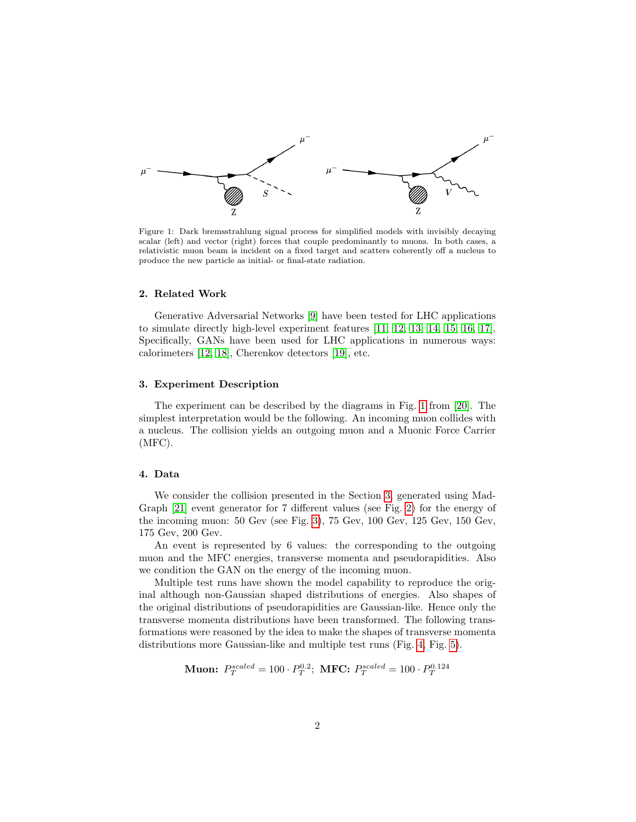<span id="page-1-0"></span>

Figure 1: Dark bremsstrahlung signal process for simplified models with invisibly decaying scalar (left) and vector (right) forces that couple predominantly to muons. In both cases, a relativistic muon beam is incident on a fixed target and scatters coherently off a nucleus to produce the new particle as initial- or final-state radiation.

#### 2. Related Work

Generative Adversarial Networks [\[9\]](#page-8-1) have been tested for LHC applications to simulate directly high-level experiment features [\[11,](#page-8-3) [12,](#page-8-4) [13,](#page-8-5) [14,](#page-8-6) [15,](#page-8-7) [16,](#page-9-0) [17\]](#page-9-1). Specifically, GANs have been used for LHC applications in numerous ways: calorimeters [\[12,](#page-8-4) [18\]](#page-9-2), Cherenkov detectors [\[19\]](#page-9-3), etc.

#### <span id="page-1-1"></span>3. Experiment Description

The experiment can be described by the diagrams in Fig. [1](#page-1-0) from [\[20\]](#page-9-4). The simplest interpretation would be the following. An incoming muon collides with a nucleus. The collision yields an outgoing muon and a Muonic Force Carrier (MFC).

## 4. Data

We consider the collision presented in the Section [3,](#page-1-1) generated using Mad-Graph [\[21\]](#page-9-5) event generator for 7 different values (see Fig. [2\)](#page-2-0) for the energy of the incoming muon: 50 Gev (see Fig. [3\)](#page-2-1), 75 Gev, 100 Gev, 125 Gev, 150 Gev, 175 Gev, 200 Gev.

An event is represented by 6 values: the corresponding to the outgoing muon and the MFC energies, transverse momenta and pseudorapidities. Also we condition the GAN on the energy of the incoming muon.

Multiple test runs have shown the model capability to reproduce the original although non-Gaussian shaped distributions of energies. Also shapes of the original distributions of pseudorapidities are Gaussian-like. Hence only the transverse momenta distributions have been transformed. The following transformations were reasoned by the idea to make the shapes of transverse momenta distributions more Gaussian-like and multiple test runs (Fig. [4,](#page-3-0) Fig. [5\)](#page-3-1).

**Muon:** 
$$
P_T^{scaled} = 100 \cdot P_T^{0.2}
$$
; MFC:  $P_T^{scaled} = 100 \cdot P_T^{0.124}$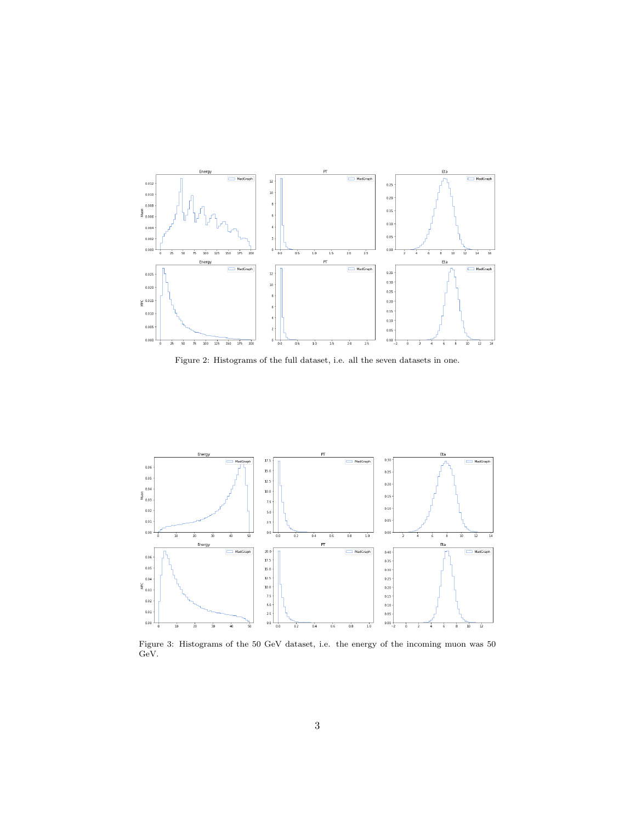<span id="page-2-0"></span>

Figure 2: Histograms of the full dataset, i.e. all the seven datasets in one.

<span id="page-2-1"></span>

Figure 3: Histograms of the 50 GeV dataset, i.e. the energy of the incoming muon was 50 GeV.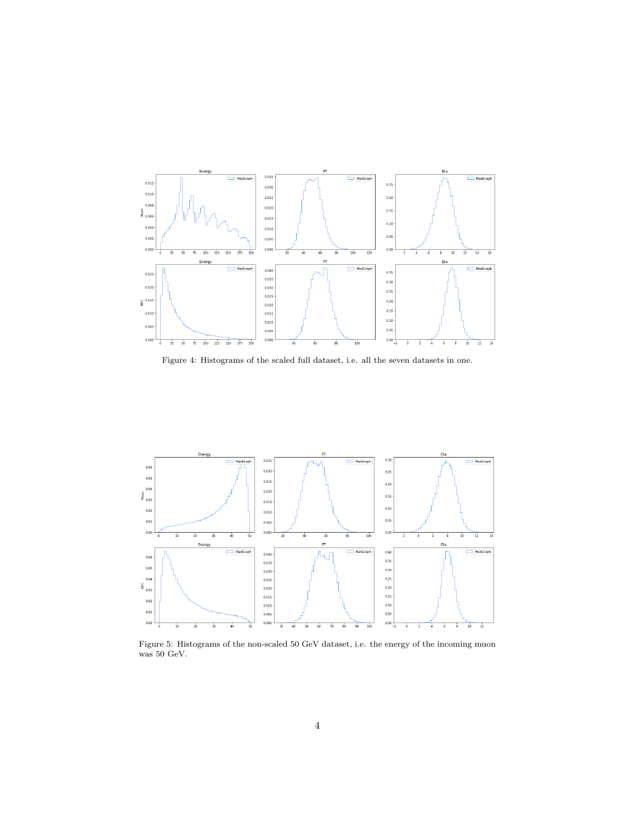<span id="page-3-0"></span>

Figure 4: Histograms of the scaled full dataset, i.e. all the seven datasets in one.

<span id="page-3-1"></span>

Figure 5: Histograms of the non-scaled 50 GeV dataset, i.e. the energy of the incoming muon was 50 GeV.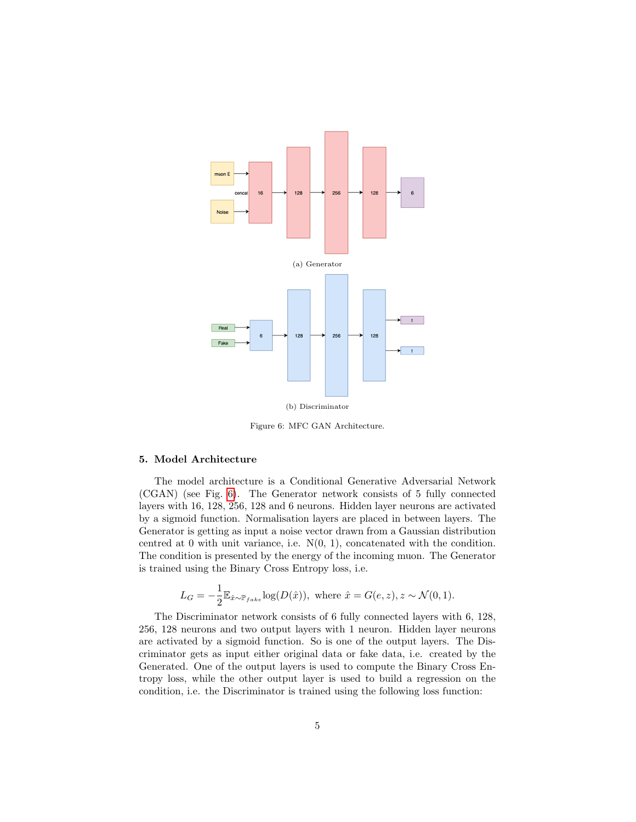<span id="page-4-0"></span>

Figure 6: MFC GAN Architecture.

## 5. Model Architecture

The model architecture is a Conditional Generative Adversarial Network (CGAN) (see Fig. [6\)](#page-4-0). The Generator network consists of 5 fully connected layers with 16, 128, 256, 128 and 6 neurons. Hidden layer neurons are activated by a sigmoid function. Normalisation layers are placed in between layers. The Generator is getting as input a noise vector drawn from a Gaussian distribution centred at 0 with unit variance, i.e.  $N(0, 1)$ , concatenated with the condition. The condition is presented by the energy of the incoming muon. The Generator is trained using the Binary Cross Entropy loss, i.e.

$$
L_G = -\frac{1}{2} \mathbb{E}_{\hat{x} \sim \mathbb{P}_{fake}} \log(D(\hat{x})), \text{ where } \hat{x} = G(e, z), z \sim \mathcal{N}(0, 1).
$$

The Discriminator network consists of 6 fully connected layers with 6, 128, 256, 128 neurons and two output layers with 1 neuron. Hidden layer neurons are activated by a sigmoid function. So is one of the output layers. The Discriminator gets as input either original data or fake data, i.e. created by the Generated. One of the output layers is used to compute the Binary Cross Entropy loss, while the other output layer is used to build a regression on the condition, i.e. the Discriminator is trained using the following loss function: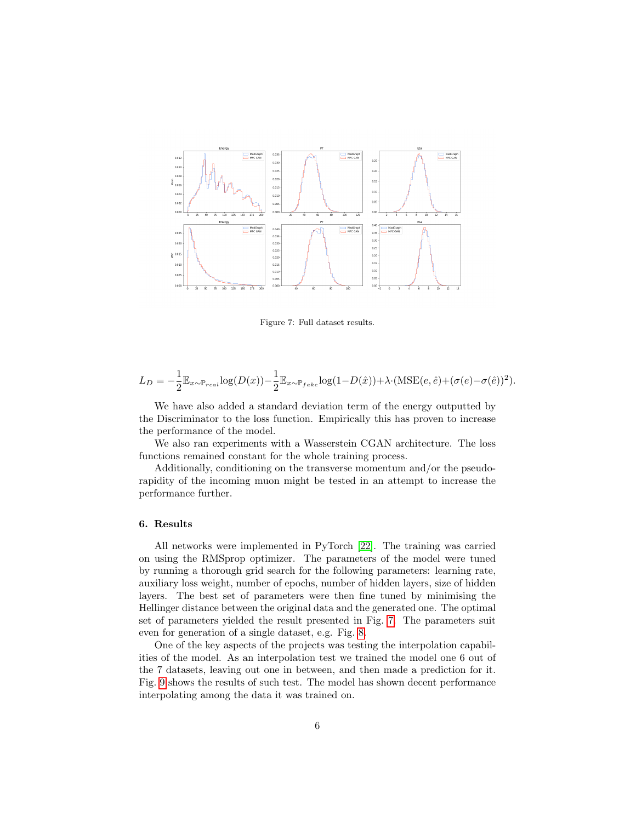<span id="page-5-0"></span>

Figure 7: Full dataset results.

$$
L_D = -\frac{1}{2} \mathbb{E}_{x \sim \mathbb{P}_{real}} \log(D(x)) - \frac{1}{2} \mathbb{E}_{x \sim \mathbb{P}_{fake}} \log(1 - D(\hat{x})) + \lambda \cdot (\text{MSE}(e, \hat{e}) + (\sigma(e) - \sigma(\hat{e}))^2).
$$

We have also added a standard deviation term of the energy outputted by the Discriminator to the loss function. Empirically this has proven to increase the performance of the model.

We also ran experiments with a Wasserstein CGAN architecture. The loss functions remained constant for the whole training process.

Additionally, conditioning on the transverse momentum and/or the pseudorapidity of the incoming muon might be tested in an attempt to increase the performance further.

## 6. Results

All networks were implemented in PyTorch [\[22\]](#page-9-6). The training was carried on using the RMSprop optimizer. The parameters of the model were tuned by running a thorough grid search for the following parameters: learning rate, auxiliary loss weight, number of epochs, number of hidden layers, size of hidden layers. The best set of parameters were then fine tuned by minimising the Hellinger distance between the original data and the generated one. The optimal set of parameters yielded the result presented in Fig. [7.](#page-5-0) The parameters suit even for generation of a single dataset, e.g. Fig. [8.](#page-6-0)

One of the key aspects of the projects was testing the interpolation capabilities of the model. As an interpolation test we trained the model one 6 out of the 7 datasets, leaving out one in between, and then made a prediction for it. Fig. [9](#page-6-1) shows the results of such test. The model has shown decent performance interpolating among the data it was trained on.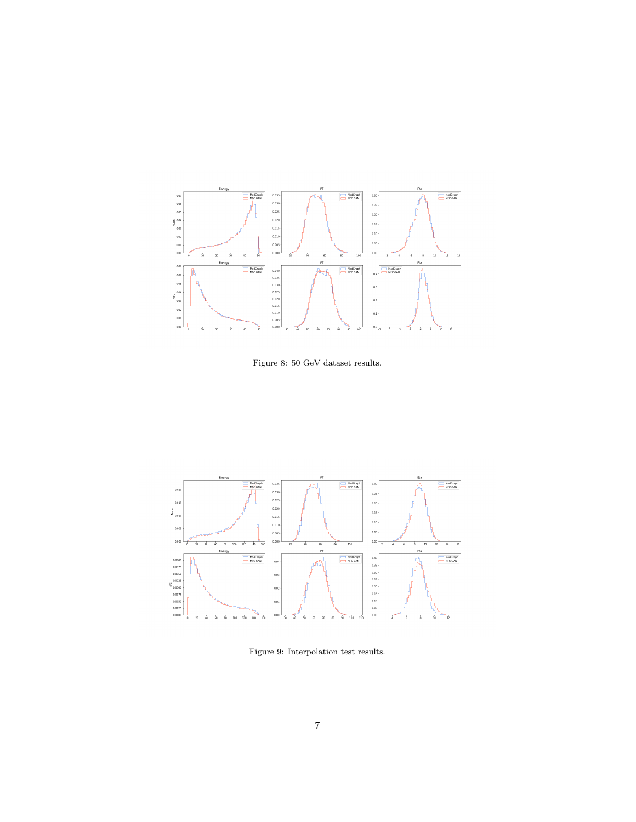<span id="page-6-0"></span>

Figure 8: 50 GeV dataset results.

<span id="page-6-1"></span>

Figure 9: Interpolation test results.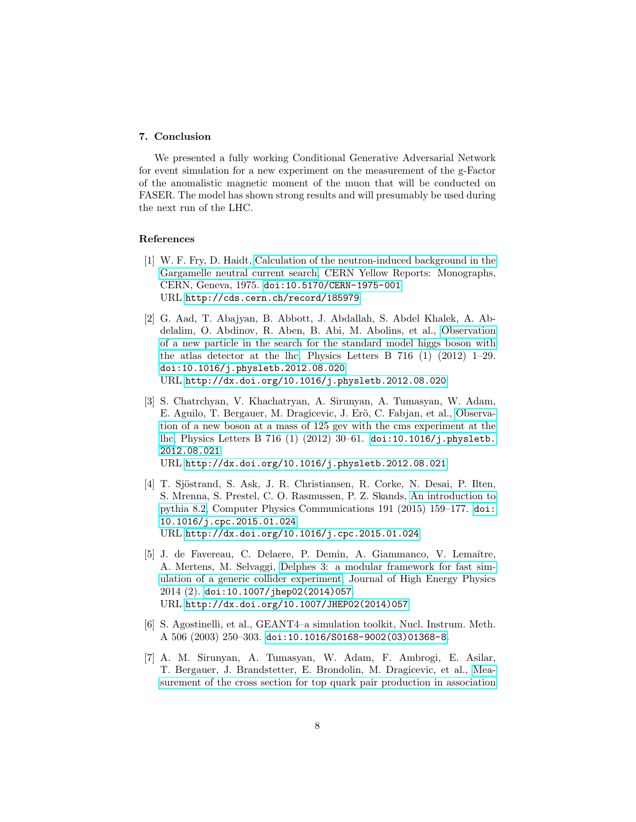## 7. Conclusion

We presented a fully working Conditional Generative Adversarial Network for event simulation for a new experiment on the measurement of the g-Factor of the anomalistic magnetic moment of the muon that will be conducted on FASER. The model has shown strong results and will presumably be used during the next run of the LHC.

#### References

- <span id="page-7-0"></span>[1] W. F. Fry, D. Haidt, [Calculation of the neutron-induced background in the](http://cds.cern.ch/record/185979) [Gargamelle neutral current search,](http://cds.cern.ch/record/185979) CERN Yellow Reports: Monographs, CERN, Geneva, 1975. [doi:10.5170/CERN-1975-001](http://dx.doi.org/10.5170/CERN-1975-001). URL <http://cds.cern.ch/record/185979>
- <span id="page-7-1"></span>[2] G. Aad, T. Abajyan, B. Abbott, J. Abdallah, S. Abdel Khalek, A. Abdelalim, O. Abdinov, R. Aben, B. Abi, M. Abolins, et al., [Observation](http://dx.doi.org/10.1016/j.physletb.2012.08.020) [of a new particle in the search for the standard model higgs boson with](http://dx.doi.org/10.1016/j.physletb.2012.08.020) [the atlas detector at the lhc,](http://dx.doi.org/10.1016/j.physletb.2012.08.020) Physics Letters B 716 (1) (2012) 1–29. [doi:10.1016/j.physletb.2012.08.020](http://dx.doi.org/10.1016/j.physletb.2012.08.020). URL <http://dx.doi.org/10.1016/j.physletb.2012.08.020>
- <span id="page-7-2"></span>[3] S. Chatrchyan, V. Khachatryan, A. Sirunyan, A. Tumasyan, W. Adam, E. Aguilo, T. Bergauer, M. Dragicevic, J. Erö, C. Fabjan, et al., [Observa](http://dx.doi.org/10.1016/j.physletb.2012.08.021)[tion of a new boson at a mass of 125 gev with the cms experiment at the](http://dx.doi.org/10.1016/j.physletb.2012.08.021) [lhc,](http://dx.doi.org/10.1016/j.physletb.2012.08.021) Physics Letters B 716 (1) (2012) 30–61. [doi:10.1016/j.physletb.](http://dx.doi.org/10.1016/j.physletb.2012.08.021) [2012.08.021](http://dx.doi.org/10.1016/j.physletb.2012.08.021). URL <http://dx.doi.org/10.1016/j.physletb.2012.08.021>

- <span id="page-7-3"></span>[4] T. Sjöstrand, S. Ask, J. R. Christiansen, R. Corke, N. Desai, P. Ilten, S. Mrenna, S. Prestel, C. O. Rasmussen, P. Z. Skands, [An introduction to](http://dx.doi.org/10.1016/j.cpc.2015.01.024) [pythia 8.2,](http://dx.doi.org/10.1016/j.cpc.2015.01.024) Computer Physics Communications 191 (2015) 159–177. [doi:](http://dx.doi.org/10.1016/j.cpc.2015.01.024) [10.1016/j.cpc.2015.01.024](http://dx.doi.org/10.1016/j.cpc.2015.01.024). URL <http://dx.doi.org/10.1016/j.cpc.2015.01.024>
- <span id="page-7-4"></span>[5] J. de Favereau, C. Delaere, P. Demin, A. Giammanco, V. Lemaître, A. Mertens, M. Selvaggi, [Delphes 3: a modular framework for fast sim](http://dx.doi.org/10.1007/JHEP02(2014)057)[ulation of a generic collider experiment,](http://dx.doi.org/10.1007/JHEP02(2014)057) Journal of High Energy Physics 2014 (2). [doi:10.1007/jhep02\(2014\)057](http://dx.doi.org/10.1007/jhep02(2014)057). URL [http://dx.doi.org/10.1007/JHEP02\(2014\)057](http://dx.doi.org/10.1007/JHEP02(2014)057)
- <span id="page-7-5"></span>[6] S. Agostinelli, et al., GEANT4–a simulation toolkit, Nucl. Instrum. Meth.  $A 506 (2003) 250-303.$ [doi:10.1016/S0168-9002\(03\)01368-8](http://dx.doi.org/10.1016/S0168-9002(03)01368-8).
- <span id="page-7-6"></span>[7] A. M. Sirunyan, A. Tumasyan, W. Adam, F. Ambrogi, E. Asilar, T. Bergauer, J. Brandstetter, E. Brondolin, M. Dragicevic, et al., [Mea](http://dx.doi.org/10.1007/JHEP08(2018)011)[surement of the cross section for top quark pair production in association](http://dx.doi.org/10.1007/JHEP08(2018)011)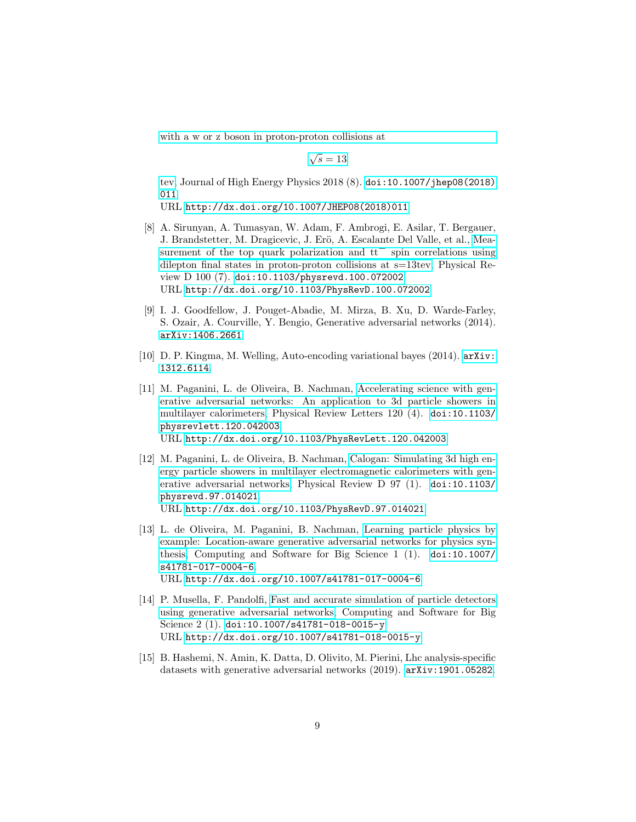[with a w or z boson in proton-proton collisions at](http://dx.doi.org/10.1007/JHEP08(2018)011)

 $\sqrt{s} = 13$  $\sqrt{s} = 13$ 

[tev,](http://dx.doi.org/10.1007/JHEP08(2018)011) Journal of High Energy Physics 2018 (8). [doi:10.1007/jhep08\(2018\)](http://dx.doi.org/10.1007/jhep08(2018)011) [011](http://dx.doi.org/10.1007/jhep08(2018)011).

URL [http://dx.doi.org/10.1007/JHEP08\(2018\)011](http://dx.doi.org/10.1007/JHEP08(2018)011)

- <span id="page-8-0"></span>[8] A. Sirunyan, A. Tumasyan, W. Adam, F. Ambrogi, E. Asilar, T. Bergauer, J. Brandstetter, M. Dragicevic, J. Erö, A. Escalante Del Valle, et al., [Mea](http://dx.doi.org/10.1103/PhysRevD.100.072002)surement of the top quark polarization and  $tt<sup>-</sup>$  spin correlations using [dilepton final states in proton-proton collisions at s=13tev,](http://dx.doi.org/10.1103/PhysRevD.100.072002) Physical Review D 100 (7). [doi:10.1103/physrevd.100.072002](http://dx.doi.org/10.1103/physrevd.100.072002). URL <http://dx.doi.org/10.1103/PhysRevD.100.072002>
- <span id="page-8-1"></span>[9] I. J. Goodfellow, J. Pouget-Abadie, M. Mirza, B. Xu, D. Warde-Farley, S. Ozair, A. Courville, Y. Bengio, Generative adversarial networks (2014). [arXiv:1406.2661](http://arxiv.org/abs/1406.2661).
- <span id="page-8-2"></span>[10] D. P. Kingma, M. Welling, Auto-encoding variational bayes (2014). [arXiv:](http://arxiv.org/abs/1312.6114) [1312.6114](http://arxiv.org/abs/1312.6114).
- <span id="page-8-3"></span>[11] M. Paganini, L. de Oliveira, B. Nachman, [Accelerating science with gen](http://dx.doi.org/10.1103/PhysRevLett.120.042003)[erative adversarial networks: An application to 3d particle showers in](http://dx.doi.org/10.1103/PhysRevLett.120.042003) [multilayer calorimeters,](http://dx.doi.org/10.1103/PhysRevLett.120.042003) Physical Review Letters 120 (4). [doi:10.1103/](http://dx.doi.org/10.1103/physrevlett.120.042003) [physrevlett.120.042003](http://dx.doi.org/10.1103/physrevlett.120.042003). URL <http://dx.doi.org/10.1103/PhysRevLett.120.042003>
- <span id="page-8-4"></span>[12] M. Paganini, L. de Oliveira, B. Nachman, [Calogan: Simulating 3d high en](http://dx.doi.org/10.1103/PhysRevD.97.014021)[ergy particle showers in multilayer electromagnetic calorimeters with gen](http://dx.doi.org/10.1103/PhysRevD.97.014021)[erative adversarial networks,](http://dx.doi.org/10.1103/PhysRevD.97.014021) Physical Review D 97 (1). [doi:10.1103/](http://dx.doi.org/10.1103/physrevd.97.014021) [physrevd.97.014021](http://dx.doi.org/10.1103/physrevd.97.014021). URL <http://dx.doi.org/10.1103/PhysRevD.97.014021>
- <span id="page-8-5"></span>[13] L. de Oliveira, M. Paganini, B. Nachman, [Learning particle physics by](http://dx.doi.org/10.1007/s41781-017-0004-6) [example: Location-aware generative adversarial networks for physics syn](http://dx.doi.org/10.1007/s41781-017-0004-6)[thesis,](http://dx.doi.org/10.1007/s41781-017-0004-6) Computing and Software for Big Science 1 (1). [doi:10.1007/](http://dx.doi.org/10.1007/s41781-017-0004-6) [s41781-017-0004-6](http://dx.doi.org/10.1007/s41781-017-0004-6). URL <http://dx.doi.org/10.1007/s41781-017-0004-6>
- <span id="page-8-6"></span>[14] P. Musella, F. Pandolfi, [Fast and accurate simulation of particle detectors](http://dx.doi.org/10.1007/s41781-018-0015-y) [using generative adversarial networks,](http://dx.doi.org/10.1007/s41781-018-0015-y) Computing and Software for Big Science 2 (1). [doi:10.1007/s41781-018-0015-y](http://dx.doi.org/10.1007/s41781-018-0015-y). URL <http://dx.doi.org/10.1007/s41781-018-0015-y>
- <span id="page-8-7"></span>[15] B. Hashemi, N. Amin, K. Datta, D. Olivito, M. Pierini, Lhc analysis-specific datasets with generative adversarial networks (2019). [arXiv:1901.05282](http://arxiv.org/abs/1901.05282).